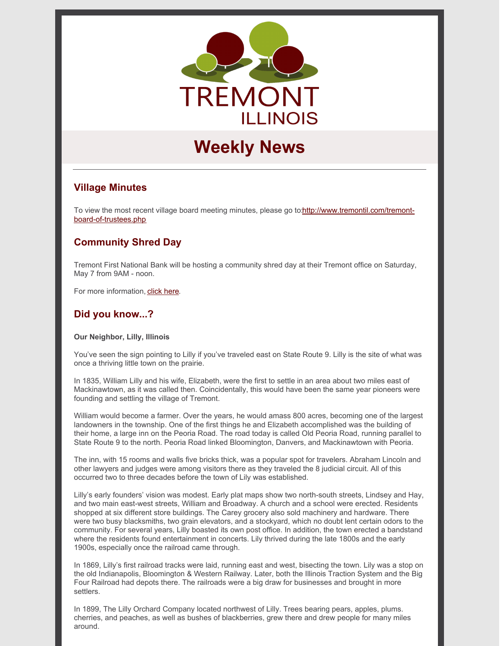

# **Weekly News**

# **Village Minutes**

To view the most recent village board meeting minutes, please go [to:http://www.tremontil.com/tremont](http://www.tremontil.com/tremont-board-of-trustees.php)board-of-trustees.php

# **Community Shred Day**

Tremont First National Bank will be hosting a community shred day at their Tremont office on Saturday, May 7 from 9AM - noon.

For more information, click [here.](https://www.tremontil.com/Tremont-news/2022/Shred_Day.pdf)

# **Did you know...?**

#### **Our Neighbor, Lilly, Illinois**

You've seen the sign pointing to Lilly if you've traveled east on State Route 9. Lilly is the site of what was once a thriving little town on the prairie.

In 1835, William Lilly and his wife, Elizabeth, were the first to settle in an area about two miles east of Mackinawtown, as it was called then. Coincidentally, this would have been the same year pioneers were founding and settling the village of Tremont.

William would become a farmer. Over the years, he would amass 800 acres, becoming one of the largest landowners in the township. One of the first things he and Elizabeth accomplished was the building of their home, a large inn on the Peoria Road. The road today is called Old Peoria Road, running parallel to State Route 9 to the north. Peoria Road linked Bloomington, Danvers, and Mackinawtown with Peoria.

The inn, with 15 rooms and walls five bricks thick, was a popular spot for travelers. Abraham Lincoln and other lawyers and judges were among visitors there as they traveled the 8 judicial circuit. All of this occurred two to three decades before the town of Lily was established.

Lilly's early founders' vision was modest. Early plat maps show two north-south streets, Lindsey and Hay, and two main east-west streets, William and Broadway. A church and a school were erected. Residents shopped at six different store buildings. The Carey grocery also sold machinery and hardware. There were two busy blacksmiths, two grain elevators, and a stockyard, which no doubt lent certain odors to the community. For several years, Lilly boasted its own post office. In addition, the town erected a bandstand where the residents found entertainment in concerts. Lily thrived during the late 1800s and the early 1900s, especially once the railroad came through.

In 1869, Lilly's first railroad tracks were laid, running east and west, bisecting the town. Lily was a stop on the old Indianapolis, Bloomington & Western Railway. Later, both the Illinois Traction System and the Big Four Railroad had depots there. The railroads were a big draw for businesses and brought in more settlers.

In 1899, The Lilly Orchard Company located northwest of Lilly. Trees bearing pears, apples, plums. cherries, and peaches, as well as bushes of blackberries, grew there and drew people for many miles around.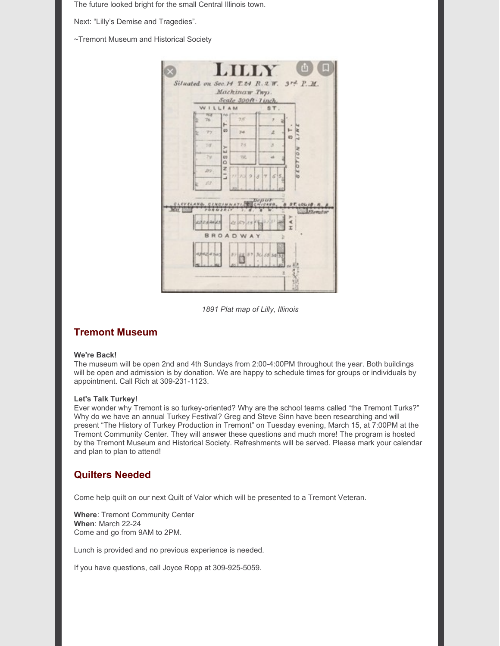The future looked bright for the small Central Illinois town.

Next: "Lilly's Demise and Tragedies".

~Tremont Museum and Historical Society

| LILLY                                          | n.                   |
|------------------------------------------------|----------------------|
| Situated on Sec.14 T.24 R.2 W. 3rd P.M.        |                      |
| Machinaw Twp.                                  |                      |
| Scale 300ft - Tinch.                           |                      |
| WILLIAM                                        | ST.                  |
| TOO<br>Pads<br>$7.5^{\circ}$<br>76<br>۳        | y                    |
| 65<br>$T\gamma$<br>74                          | z.<br>65             |
| 23<br>$70^{\circ}$<br>y.<br>in.                | 3                    |
| 24<br>GO <sub>1</sub><br>戏<br>O                | <b>NOILOY</b><br>zt. |
| z<br>202.<br>Ľ,<br>777398                      | 65                   |
| 37.7                                           |                      |
| CLEVELAND, CINCINNATION CHICAGO, & BE LOLIS R. |                      |
| <b>FORMZBLY</b><br>MOV 1<br>n.                 | Flemator             |
| CLESCRATE SIL<br>12233403<br>×.<br>x           |                      |
| <b>BROADWAY</b>                                |                      |
| <b>Altalation</b><br>37 28 37 36 35 35 35      |                      |
|                                                |                      |
|                                                |                      |
|                                                |                      |

*1891 Plat map of Lilly, Illinois*

# **Tremont Museum**

#### **We're Back!**

The museum will be open 2nd and 4th Sundays from 2:00-4:00PM throughout the year. Both buildings will be open and admission is by donation. We are happy to schedule times for groups or individuals by appointment. Call Rich at 309-231-1123.

#### **Let's Talk Turkey!**

Ever wonder why Tremont is so turkey-oriented? Why are the school teams called "the Tremont Turks?" Why do we have an annual Turkey Festival? Greg and Steve Sinn have been researching and will present "The History of Turkey Production in Tremont" on Tuesday evening, March 15, at 7:00PM at the Tremont Community Center. They will answer these questions and much more! The program is hosted by the Tremont Museum and Historical Society. Refreshments will be served. Please mark your calendar and plan to plan to attend!

#### **Quilters Needed**

Come help quilt on our next Quilt of Valor which will be presented to a Tremont Veteran.

**Where**: Tremont Community Center **When**: March 22-24 Come and go from 9AM to 2PM.

Lunch is provided and no previous experience is needed.

If you have questions, call Joyce Ropp at 309-925-5059.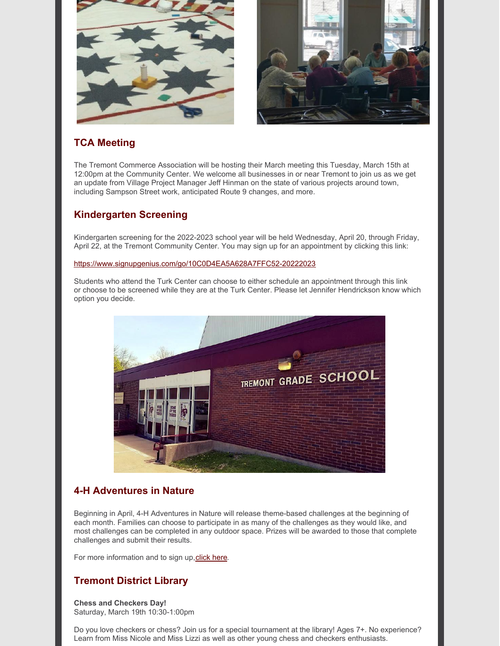

# **TCA Meeting**

The Tremont Commerce Association will be hosting their March meeting this Tuesday, March 15th at 12:00pm at the Community Center. We welcome all businesses in or near Tremont to join us as we get an update from Village Project Manager Jeff Hinman on the state of various projects around town, including Sampson Street work, anticipated Route 9 changes, and more.

# **Kindergarten Screening**

Kindergarten screening for the 2022-2023 school year will be held Wednesday, April 20, through Friday, April 22, at the Tremont Community Center. You may sign up for an appointment by clicking this link:

#### <https://www.signupgenius.com/go/10C0D4EA5A628A7FFC52-20222023>

Students who attend the Turk Center can choose to either schedule an appointment through this link or choose to be screened while they are at the Turk Center. Please let Jennifer Hendrickson know which option you decide.



# **4-H Adventures in Nature**

Beginning in April, 4-H Adventures in Nature will release theme-based challenges at the beginning of each month. Families can choose to participate in as many of the challenges as they would like, and most challenges can be completed in any outdoor space. Prizes will be awarded to those that complete challenges and submit their results.

For more information and to sign up, click here.

# **Tremont District Library**

**Chess and Checkers Day!** Saturday, March 19th 10:30-1:00pm

Do you love checkers or chess? Join us for a special tournament at the library! Ages 7+. No experience? Learn from Miss Nicole and Miss Lizzi as well as other young chess and checkers enthusiasts.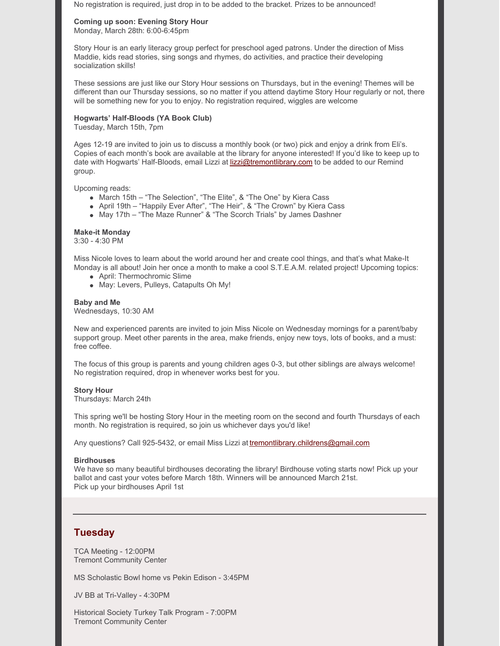No registration is required, just drop in to be added to the bracket. Prizes to be announced!

#### **Coming up soon: Evening Story Hour**

Monday, March 28th: 6:00-6:45pm

Story Hour is an early literacy group perfect for preschool aged patrons. Under the direction of Miss Maddie, kids read stories, sing songs and rhymes, do activities, and practice their developing socialization skills!

These sessions are just like our Story Hour sessions on Thursdays, but in the evening! Themes will be different than our Thursday sessions, so no matter if you attend daytime Story Hour regularly or not, there will be something new for you to enjoy. No registration required, wiggles are welcome

#### **Hogwarts' Half-Bloods (YA Book Club)**

Tuesday, March 15th, 7pm

Ages 12-19 are invited to join us to discuss a monthly book (or two) pick and enjoy a drink from Eli's. Copies of each month's book are available at the library for anyone interested! If you'd like to keep up to date with Hogwarts' Half-Bloods, email Lizzi at [lizzi@tremontlibrary.com](mailto:lizzi@tremontlibrary.com) to be added to our Remind group.

Upcoming reads:

- March 15th "The Selection", "The Elite", & "The One" by Kiera Cass
- April 19th "Happily Ever After", "The Heir", & "The Crown" by Kiera Cass
- May 17th "The Maze Runner" & "The Scorch Trials" by James Dashner

#### **Make-it Monday**

3:30 - 4:30 PM

Miss Nicole loves to learn about the world around her and create cool things, and that's what Make-It Monday is all about! Join her once a month to make a cool S.T.E.A.M. related project! Upcoming topics:

- April: Thermochromic Slime
- May: Levers, Pulleys, Catapults Oh My!

#### **Baby and Me**

Wednesdays, 10:30 AM

New and experienced parents are invited to join Miss Nicole on Wednesday mornings for a parent/baby support group. Meet other parents in the area, make friends, enjoy new toys, lots of books, and a must: free coffee.

The focus of this group is parents and young children ages 0-3, but other siblings are always welcome! No registration required, drop in whenever works best for you.

#### **Story Hour**

Thursdays: March 24th

This spring we'll be hosting Story Hour in the meeting room on the second and fourth Thursdays of each month. No registration is required, so join us whichever days you'd like!

Any questions? Call 925-5432, or email Miss Lizzi at [tremontlibrary.childrens@gmail.com](mailto:tremontlibrary.childrens@gmail.com)

#### **Birdhouses**

We have so many beautiful birdhouses decorating the library! Birdhouse voting starts now! Pick up your ballot and cast your votes before March 18th. Winners will be announced March 21st. Pick up your birdhouses April 1st

## **Tuesday**

TCA Meeting - 12:00PM Tremont Community Center

MS Scholastic Bowl home vs Pekin Edison - 3:45PM

JV BB at Tri-Valley - 4:30PM

Historical Society Turkey Talk Program - 7:00PM Tremont Community Center